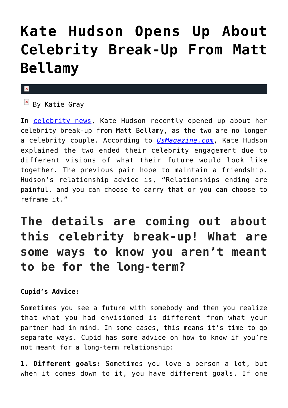## **[Kate Hudson Opens Up About](https://cupidspulse.com/100605/kate-hudson-opens-up-celebrity-break-up-matt-bellamy/) [Celebrity Break-Up From Matt](https://cupidspulse.com/100605/kate-hudson-opens-up-celebrity-break-up-matt-bellamy/) [Bellamy](https://cupidspulse.com/100605/kate-hudson-opens-up-celebrity-break-up-matt-bellamy/)**

## $\mathbf{x}$

 $\boxed{\times}$  By Katie Gray

In [celebrity news](http://cupidspulse.com), Kate Hudson recently opened up about her celebrity break-up from Matt Bellamy, as the two are no longer a celebrity couple. According to *[UsMagazine.com](http://www.usmagazine.com/celebrity-moms/news/kate-hudson-talks-ending-engagement-with-matt-bellamy-20151610)*, Kate Hudson explained the two ended their celebrity engagement due to different visions of what their future would look like together. The previous pair hope to maintain a friendship. Hudson's relationship advice is, "Relationships ending are painful, and you can choose to carry that or you can choose to reframe it."

## **The details are coming out about this celebrity break-up! What are some ways to know you aren't meant to be for the long-term?**

## **Cupid's Advice:**

Sometimes you see a future with somebody and then you realize that what you had envisioned is different from what your partner had in mind. In some cases, this means it's time to go separate ways. Cupid has some advice on how to know if you're not meant for a long-term relationship:

**1. Different goals:** Sometimes you love a person a lot, but when it comes down to it, you have different goals. If one